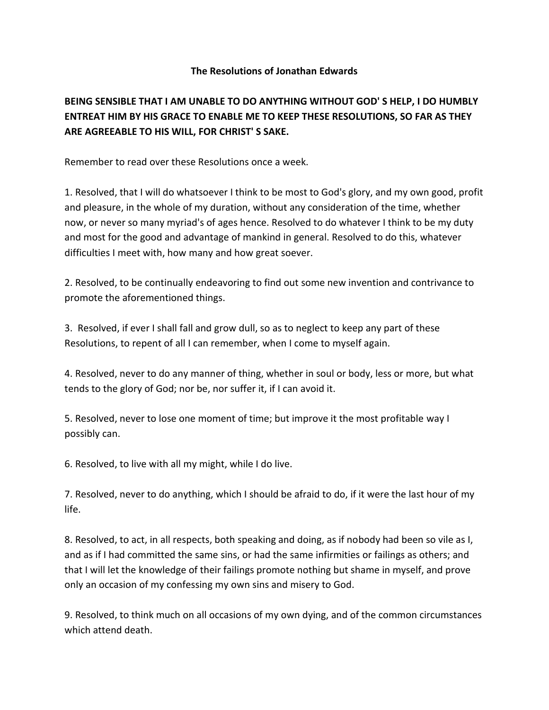## **The Resolutions of Jonathan Edwards**

## **BEING SENSIBLE THAT I AM UNABLE TO DO ANYTHING WITHOUT GOD' S HELP, I DO HUMBLY ENTREAT HIM BY HIS GRACE TO ENABLE ME TO KEEP THESE RESOLUTIONS, SO FAR AS THEY ARE AGREEABLE TO HIS WILL, FOR CHRIST' S SAKE.**

Remember to read over these Resolutions once a week.

1. Resolved, that I will do whatsoever I think to be most to God's glory, and my own good, profit and pleasure, in the whole of my duration, without any consideration of the time, whether now, or never so many myriad's of ages hence. Resolved to do whatever I think to be my duty and most for the good and advantage of mankind in general. Resolved to do this, whatever difficulties I meet with, how many and how great soever.

2. Resolved, to be continually endeavoring to find out some new invention and contrivance to promote the aforementioned things.

3. Resolved, if ever I shall fall and grow dull, so as to neglect to keep any part of these Resolutions, to repent of all I can remember, when I come to myself again.

4. Resolved, never to do any manner of thing, whether in soul or body, less or more, but what tends to the glory of God; nor be, nor suffer it, if I can avoid it.

5. Resolved, never to lose one moment of time; but improve it the most profitable way I possibly can.

6. Resolved, to live with all my might, while I do live.

7. Resolved, never to do anything, which I should be afraid to do, if it were the last hour of my life.

8. Resolved, to act, in all respects, both speaking and doing, as if nobody had been so vile as I, and as if I had committed the same sins, or had the same infirmities or failings as others; and that I will let the knowledge of their failings promote nothing but shame in myself, and prove only an occasion of my confessing my own sins and misery to God.

9. Resolved, to think much on all occasions of my own dying, and of the common circumstances which attend death.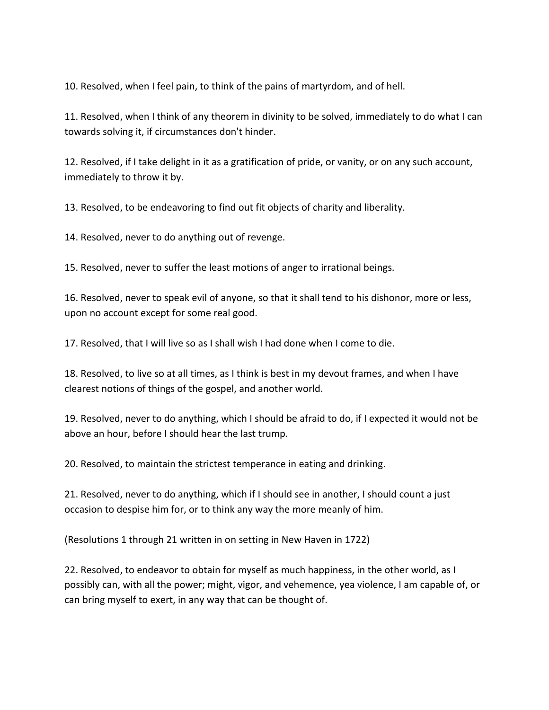10. Resolved, when I feel pain, to think of the pains of martyrdom, and of hell.

11. Resolved, when I think of any theorem in divinity to be solved, immediately to do what I can towards solving it, if circumstances don't hinder.

12. Resolved, if I take delight in it as a gratification of pride, or vanity, or on any such account, immediately to throw it by.

13. Resolved, to be endeavoring to find out fit objects of charity and liberality.

14. Resolved, never to do anything out of revenge.

15. Resolved, never to suffer the least motions of anger to irrational beings.

16. Resolved, never to speak evil of anyone, so that it shall tend to his dishonor, more or less, upon no account except for some real good.

17. Resolved, that I will live so as I shall wish I had done when I come to die.

18. Resolved, to live so at all times, as I think is best in my devout frames, and when I have clearest notions of things of the gospel, and another world.

19. Resolved, never to do anything, which I should be afraid to do, if I expected it would not be above an hour, before I should hear the last trump.

20. Resolved, to maintain the strictest temperance in eating and drinking.

21. Resolved, never to do anything, which if I should see in another, I should count a just occasion to despise him for, or to think any way the more meanly of him.

(Resolutions 1 through 21 written in on setting in New Haven in 1722)

22. Resolved, to endeavor to obtain for myself as much happiness, in the other world, as I possibly can, with all the power; might, vigor, and vehemence, yea violence, I am capable of, or can bring myself to exert, in any way that can be thought of.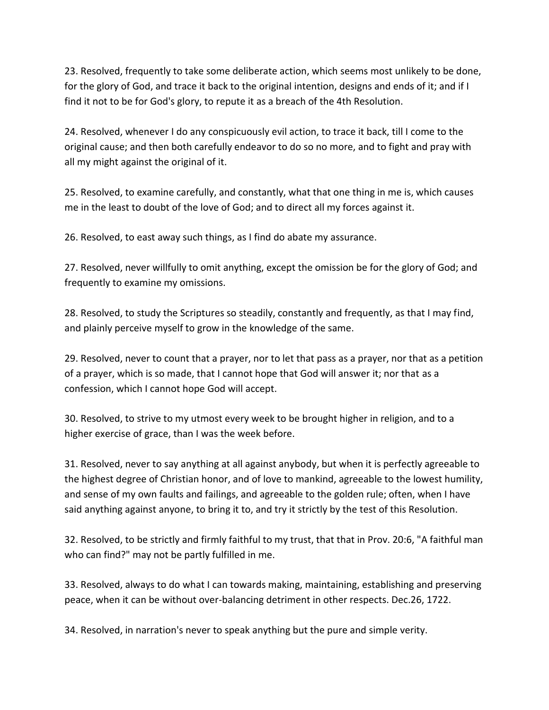23. Resolved, frequently to take some deliberate action, which seems most unlikely to be done, for the glory of God, and trace it back to the original intention, designs and ends of it; and if I find it not to be for God's glory, to repute it as a breach of the 4th Resolution.

24. Resolved, whenever I do any conspicuously evil action, to trace it back, till I come to the original cause; and then both carefully endeavor to do so no more, and to fight and pray with all my might against the original of it.

25. Resolved, to examine carefully, and constantly, what that one thing in me is, which causes me in the least to doubt of the love of God; and to direct all my forces against it.

26. Resolved, to east away such things, as I find do abate my assurance.

27. Resolved, never willfully to omit anything, except the omission be for the glory of God; and frequently to examine my omissions.

28. Resolved, to study the Scriptures so steadily, constantly and frequently, as that I may find, and plainly perceive myself to grow in the knowledge of the same.

29. Resolved, never to count that a prayer, nor to let that pass as a prayer, nor that as a petition of a prayer, which is so made, that I cannot hope that God will answer it; nor that as a confession, which I cannot hope God will accept.

30. Resolved, to strive to my utmost every week to be brought higher in religion, and to a higher exercise of grace, than I was the week before.

31. Resolved, never to say anything at all against anybody, but when it is perfectly agreeable to the highest degree of Christian honor, and of love to mankind, agreeable to the lowest humility, and sense of my own faults and failings, and agreeable to the golden rule; often, when I have said anything against anyone, to bring it to, and try it strictly by the test of this Resolution.

32. Resolved, to be strictly and firmly faithful to my trust, that that in Prov. 20:6, "A faithful man who can find?" may not be partly fulfilled in me.

33. Resolved, always to do what I can towards making, maintaining, establishing and preserving peace, when it can be without over-balancing detriment in other respects. Dec.26, 1722.

34. Resolved, in narration's never to speak anything but the pure and simple verity.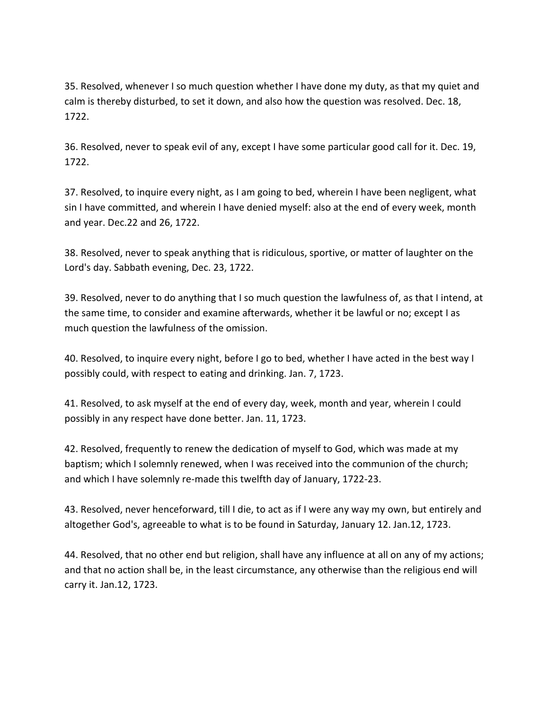35. Resolved, whenever I so much question whether I have done my duty, as that my quiet and calm is thereby disturbed, to set it down, and also how the question was resolved. Dec. 18, 1722.

36. Resolved, never to speak evil of any, except I have some particular good call for it. Dec. 19, 1722.

37. Resolved, to inquire every night, as I am going to bed, wherein I have been negligent, what sin I have committed, and wherein I have denied myself: also at the end of every week, month and year. Dec.22 and 26, 1722.

38. Resolved, never to speak anything that is ridiculous, sportive, or matter of laughter on the Lord's day. Sabbath evening, Dec. 23, 1722.

39. Resolved, never to do anything that I so much question the lawfulness of, as that I intend, at the same time, to consider and examine afterwards, whether it be lawful or no; except I as much question the lawfulness of the omission.

40. Resolved, to inquire every night, before I go to bed, whether I have acted in the best way I possibly could, with respect to eating and drinking. Jan. 7, 1723.

41. Resolved, to ask myself at the end of every day, week, month and year, wherein I could possibly in any respect have done better. Jan. 11, 1723.

42. Resolved, frequently to renew the dedication of myself to God, which was made at my baptism; which I solemnly renewed, when I was received into the communion of the church; and which I have solemnly re-made this twelfth day of January, 1722-23.

43. Resolved, never henceforward, till I die, to act as if I were any way my own, but entirely and altogether God's, agreeable to what is to be found in Saturday, January 12. Jan.12, 1723.

44. Resolved, that no other end but religion, shall have any influence at all on any of my actions; and that no action shall be, in the least circumstance, any otherwise than the religious end will carry it. Jan.12, 1723.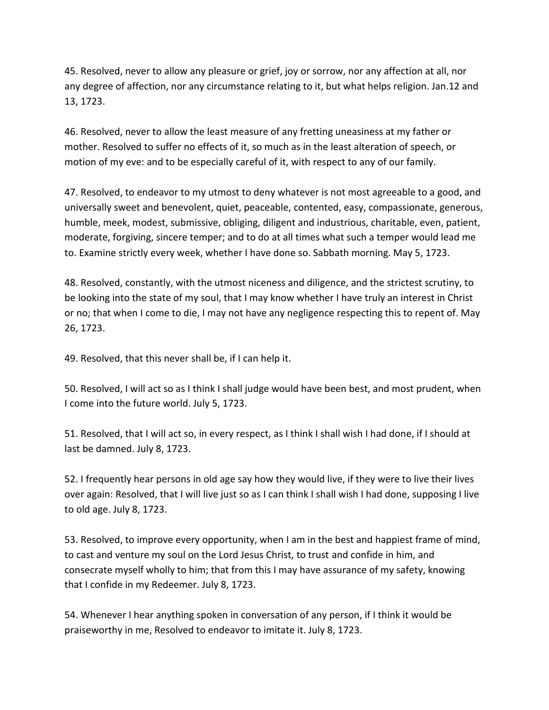45. Resolved, never to allow any pleasure or grief, joy or sorrow, nor any affection at all, nor any degree of affection, nor any circumstance relating to it, but what helps religion. Jan.12 and 13, 1723.

46. Resolved, never to allow the least measure of any fretting uneasiness at my father or mother. Resolved to suffer no effects of it, so much as in the least alteration of speech, or motion of my eve: and to be especially careful of it, with respect to any of our family.

47. Resolved, to endeavor to my utmost to deny whatever is not most agreeable to a good, and universally sweet and benevolent, quiet, peaceable, contented, easy, compassionate, generous, humble, meek, modest, submissive, obliging, diligent and industrious, charitable, even, patient, moderate, forgiving, sincere temper; and to do at all times what such a temper would lead me to. Examine strictly every week, whether I have done so. Sabbath morning. May 5, 1723.

48. Resolved, constantly, with the utmost niceness and diligence, and the strictest scrutiny, to be looking into the state of my soul, that I may know whether I have truly an interest in Christ or no; that when I come to die, I may not have any negligence respecting this to repent of. May 26, 1723.

49. Resolved, that this never shall be, if I can help it.

50. Resolved, I will act so as I think I shall judge would have been best, and most prudent, when I come into the future world. July 5, 1723.

51. Resolved, that I will act so, in every respect, as I think I shall wish I had done, if I should at last be damned. July 8, 1723.

52. I frequently hear persons in old age say how they would live, if they were to live their lives over again: Resolved, that I will live just so as I can think I shall wish I had done, supposing I live to old age. July 8, 1723.

53. Resolved, to improve every opportunity, when I am in the best and happiest frame of mind, to cast and venture my soul on the Lord Jesus Christ, to trust and confide in him, and consecrate myself wholly to him; that from this I may have assurance of my safety, knowing that I confide in my Redeemer. July 8, 1723.

54. Whenever I hear anything spoken in conversation of any person, if I think it would be praiseworthy in me, Resolved to endeavor to imitate it. July 8, 1723.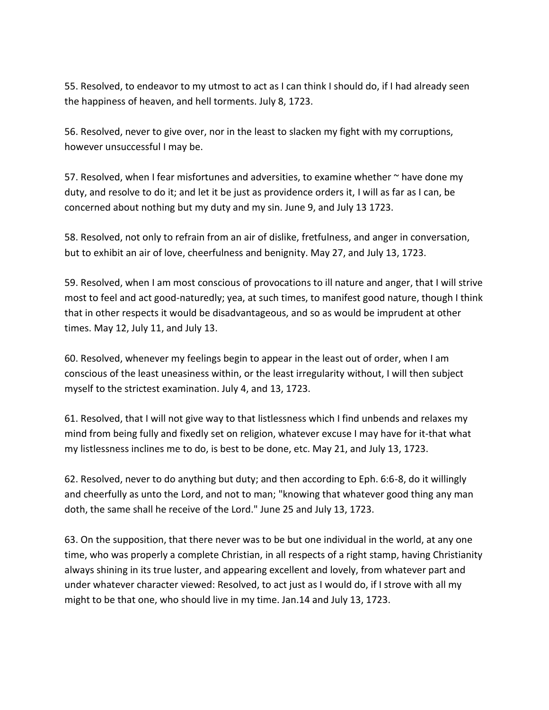55. Resolved, to endeavor to my utmost to act as I can think I should do, if I had already seen the happiness of heaven, and hell torments. July 8, 1723.

56. Resolved, never to give over, nor in the least to slacken my fight with my corruptions, however unsuccessful I may be.

57. Resolved, when I fear misfortunes and adversities, to examine whether  $\sim$  have done my duty, and resolve to do it; and let it be just as providence orders it, I will as far as I can, be concerned about nothing but my duty and my sin. June 9, and July 13 1723.

58. Resolved, not only to refrain from an air of dislike, fretfulness, and anger in conversation, but to exhibit an air of love, cheerfulness and benignity. May 27, and July 13, 1723.

59. Resolved, when I am most conscious of provocations to ill nature and anger, that I will strive most to feel and act good-naturedly; yea, at such times, to manifest good nature, though I think that in other respects it would be disadvantageous, and so as would be imprudent at other times. May 12, July 11, and July 13.

60. Resolved, whenever my feelings begin to appear in the least out of order, when I am conscious of the least uneasiness within, or the least irregularity without, I will then subject myself to the strictest examination. July 4, and 13, 1723.

61. Resolved, that I will not give way to that listlessness which I find unbends and relaxes my mind from being fully and fixedly set on religion, whatever excuse I may have for it-that what my listlessness inclines me to do, is best to be done, etc. May 21, and July 13, 1723.

62. Resolved, never to do anything but duty; and then according to Eph. 6:6-8, do it willingly and cheerfully as unto the Lord, and not to man; "knowing that whatever good thing any man doth, the same shall he receive of the Lord." June 25 and July 13, 1723.

63. On the supposition, that there never was to be but one individual in the world, at any one time, who was properly a complete Christian, in all respects of a right stamp, having Christianity always shining in its true luster, and appearing excellent and lovely, from whatever part and under whatever character viewed: Resolved, to act just as I would do, if I strove with all my might to be that one, who should live in my time. Jan.14 and July 13, 1723.